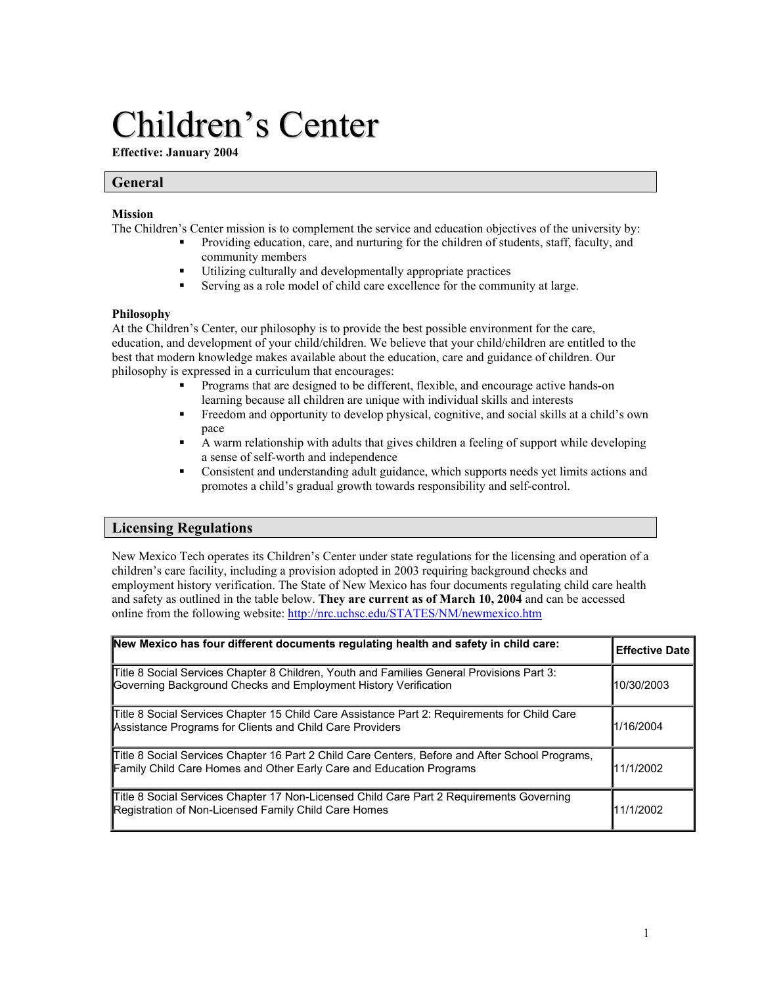# Children's Center

**Effective: January 2004** 

## **General**

## **Mission**

The Children's Center mission is to complement the service and education objectives of the university by:

- Providing education, care, and nurturing for the children of students, staff, faculty, and community members
- Utilizing culturally and developmentally appropriate practices
- Serving as a role model of child care excellence for the community at large.

## **Philosophy**

At the Children's Center, our philosophy is to provide the best possible environment for the care, education, and development of your child/children. We believe that your child/children are entitled to the best that modern knowledge makes available about the education, care and guidance of children. Our philosophy is expressed in a curriculum that encourages:

- Programs that are designed to be different, flexible, and encourage active hands-on learning because all children are unique with individual skills and interests
- Freedom and opportunity to develop physical, cognitive, and social skills at a child's own pace
- A warm relationship with adults that gives children a feeling of support while developing a sense of self-worth and independence
- Consistent and understanding adult guidance, which supports needs yet limits actions and promotes a child's gradual growth towards responsibility and self-control.

## **Licensing Regulations**

New Mexico Tech operates its Children's Center under state regulations for the licensing and operation of a children's care facility, including a provision adopted in 2003 requiring background checks and employment history verification. The State of New Mexico has four documents regulating child care health and safety as outlined in the table below. **They are current as of March 10, 2004** and can be accessed online from the following website: http://nrc.uchsc.edu/STATES/NM/newmexico.htm

| New Mexico has four different documents regulating health and safety in child care:                                                                                    | <b>Effective Date</b> |
|------------------------------------------------------------------------------------------------------------------------------------------------------------------------|-----------------------|
| Title 8 Social Services Chapter 8 Children, Youth and Families General Provisions Part 3:<br>Governing Background Checks and Employment History Verification           | 10/30/2003            |
| Title 8 Social Services Chapter 15 Child Care Assistance Part 2: Requirements for Child Care<br>Assistance Programs for Clients and Child Care Providers               | 1/16/2004             |
| Title 8 Social Services Chapter 16 Part 2 Child Care Centers, Before and After School Programs,<br>Family Child Care Homes and Other Early Care and Education Programs | 11/1/2002             |
| Title 8 Social Services Chapter 17 Non-Licensed Child Care Part 2 Requirements Governing<br>Registration of Non-Licensed Family Child Care Homes                       | 11/1/2002             |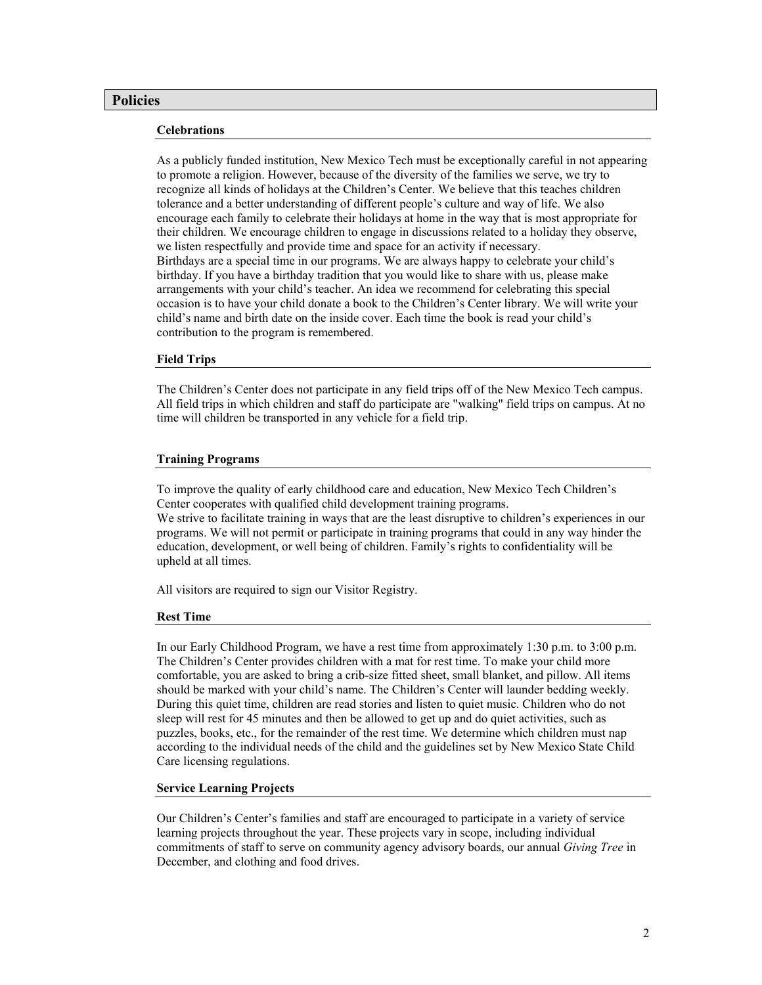## **Policies**

## **Celebrations**

As a publicly funded institution, New Mexico Tech must be exceptionally careful in not appearing to promote a religion. However, because of the diversity of the families we serve, we try to recognize all kinds of holidays at the Children's Center. We believe that this teaches children tolerance and a better understanding of different people's culture and way of life. We also encourage each family to celebrate their holidays at home in the way that is most appropriate for their children. We encourage children to engage in discussions related to a holiday they observe, we listen respectfully and provide time and space for an activity if necessary. Birthdays are a special time in our programs. We are always happy to celebrate your child's birthday. If you have a birthday tradition that you would like to share with us, please make arrangements with your child's teacher. An idea we recommend for celebrating this special occasion is to have your child donate a book to the Children's Center library. We will write your child's name and birth date on the inside cover. Each time the book is read your child's contribution to the program is remembered.

## **Field Trips**

The Children's Center does not participate in any field trips off of the New Mexico Tech campus. All field trips in which children and staff do participate are "walking" field trips on campus. At no time will children be transported in any vehicle for a field trip.

## **Training Programs**

To improve the quality of early childhood care and education, New Mexico Tech Children's Center cooperates with qualified child development training programs.

We strive to facilitate training in ways that are the least disruptive to children's experiences in our programs. We will not permit or participate in training programs that could in any way hinder the education, development, or well being of children. Family's rights to confidentiality will be upheld at all times.

All visitors are required to sign our Visitor Registry.

## **Rest Time**

In our Early Childhood Program, we have a rest time from approximately 1:30 p.m. to 3:00 p.m. The Children's Center provides children with a mat for rest time. To make your child more comfortable, you are asked to bring a crib-size fitted sheet, small blanket, and pillow. All items should be marked with your child's name. The Children's Center will launder bedding weekly. During this quiet time, children are read stories and listen to quiet music. Children who do not sleep will rest for 45 minutes and then be allowed to get up and do quiet activities, such as puzzles, books, etc., for the remainder of the rest time. We determine which children must nap according to the individual needs of the child and the guidelines set by New Mexico State Child Care licensing regulations.

## **Service Learning Projects**

Our Children's Center's families and staff are encouraged to participate in a variety of service learning projects throughout the year. These projects vary in scope, including individual commitments of staff to serve on community agency advisory boards, our annual *Giving Tree* in December, and clothing and food drives.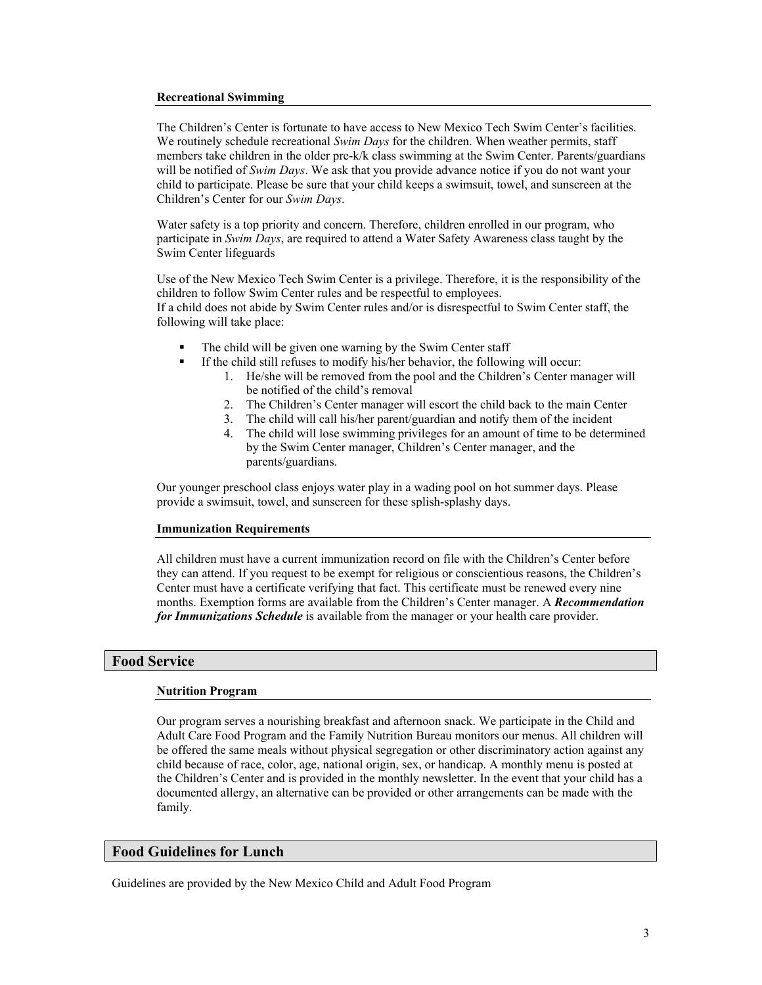## **Recreational Swimming**

The Children's Center is fortunate to have access to New Mexico Tech Swim Center's facilities. We routinely schedule recreational *Swim Days* for the children. When weather permits, staff members take children in the older pre-k/k class swimming at the Swim Center. Parents/guardians will be notified of *Swim Days*. We ask that you provide advance notice if you do not want your child to participate. Please be sure that your child keeps a swimsuit, towel, and sunscreen at the Children's Center for our *Swim Days*.

Water safety is a top priority and concern. Therefore, children enrolled in our program, who participate in *Swim Days*, are required to attend a Water Safety Awareness class taught by the Swim Center lifeguards

Use of the New Mexico Tech Swim Center is a privilege. Therefore, it is the responsibility of the children to follow Swim Center rules and be respectful to employees. If a child does not abide by Swim Center rules and/or is disrespectful to Swim Center staff, the following will take place:

- The child will be given one warning by the Swim Center staff
	- If the child still refuses to modify his/her behavior, the following will occur:
		- 1. He/she will be removed from the pool and the Children's Center manager will be notified of the child's removal
		- 2. The Children's Center manager will escort the child back to the main Center
		- 3. The child will call his/her parent/guardian and notify them of the incident
		- 4. The child will lose swimming privileges for an amount of time to be determined by the Swim Center manager, Children's Center manager, and the parents/guardians.

Our younger preschool class enjoys water play in a wading pool on hot summer days. Please provide a swimsuit, towel, and sunscreen for these splish-splashy days.

## **Immunization Requirements**

All children must have a current immunization record on file with the Children's Center before they can attend. If you request to be exempt for religious or conscientious reasons, the Children's Center must have a certificate verifying that fact. This certificate must be renewed every nine months. Exemption forms are available from the Children's Center manager. A *Recommendation for Immunizations Schedule* is available from the manager or your health care provider.

## **Food Service**

## **Nutrition Program**

Our program serves a nourishing breakfast and afternoon snack. We participate in the Child and Adult Care Food Program and the Family Nutrition Bureau monitors our menus. All children will be offered the same meals without physical segregation or other discriminatory action against any child because of race, color, age, national origin, sex, or handicap. A monthly menu is posted at the Children's Center and is provided in the monthly newsletter. In the event that your child has a documented allergy, an alternative can be provided or other arrangements can be made with the family.

## **Food Guidelines for Lunch**

Guidelines are provided by the New Mexico Child and Adult Food Program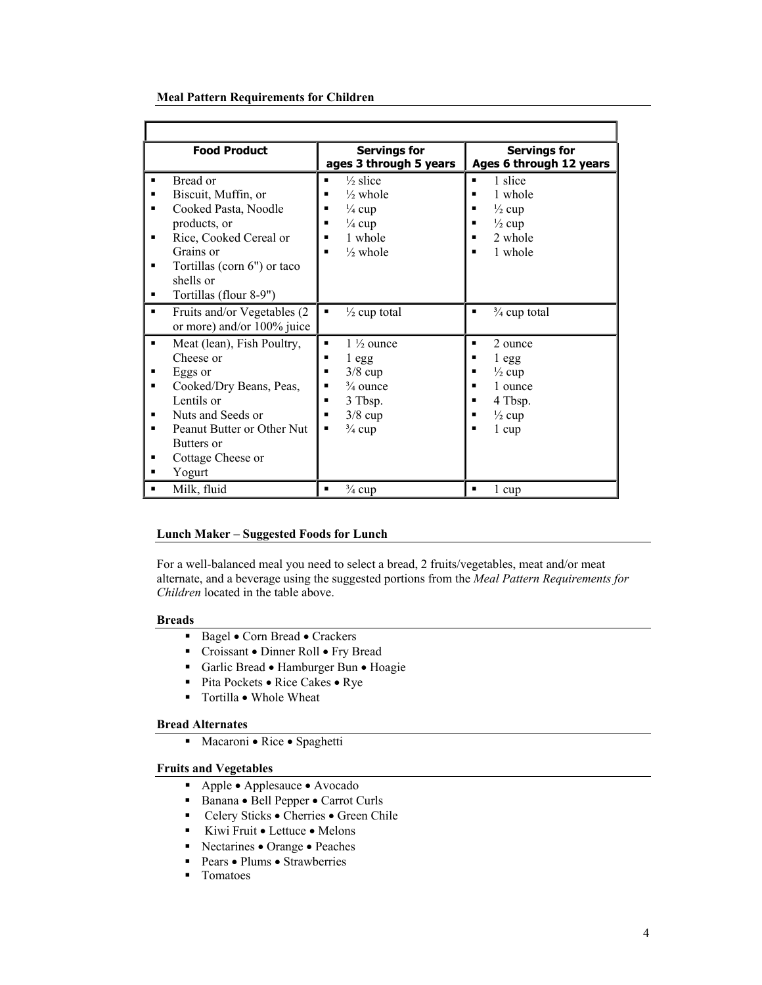## **Meal Pattern Requirements for Children**

| <b>Food Product</b>                                                                                                                                                                                                  | <b>Servings for</b><br>ages 3 through 5 years                                                                                                        | <b>Servings for</b><br>Ages 6 through 12 years                                                                |
|----------------------------------------------------------------------------------------------------------------------------------------------------------------------------------------------------------------------|------------------------------------------------------------------------------------------------------------------------------------------------------|---------------------------------------------------------------------------------------------------------------|
| Bread or<br>Biscuit, Muffin, or<br>٠<br>Cooked Pasta, Noodle<br>п<br>products, or<br>Rice, Cooked Cereal or<br>٠<br>Grains or<br>Tortillas (corn $6$ ") or taco<br>٠<br>shells or<br>Tortillas (flour 8-9")<br>٠     | $\frac{1}{2}$ slice<br>п<br>$\frac{1}{2}$ whole<br>п<br>$\frac{1}{4}$ cup<br>п<br>$\frac{1}{4}$ cup<br>п<br>1 whole<br>п<br>$\frac{1}{2}$ whole<br>п | 1 slice<br>п<br>1 whole<br>$\frac{1}{2}$ cup<br>$\frac{1}{2}$ cup<br>2 whole<br>1 whole<br>п                  |
| Fruits and/or Vegetables (2)<br>٠<br>or more) and/or $100\%$ juice                                                                                                                                                   | $\frac{1}{2}$ cup total<br>п                                                                                                                         | $\frac{3}{4}$ cup total<br>٠                                                                                  |
| Meat (lean), Fish Poultry,<br>٠<br>Cheese or<br>Eggs or<br>٠<br>Cooked/Dry Beans, Peas,<br>٠<br>Lentils or<br>Nuts and Seeds or<br>Peanut Butter or Other Nut<br>Butters or<br>Cottage Cheese or<br>п<br>Yogurt<br>■ | $1\frac{1}{2}$ ounce<br>٠<br>1egg<br>п<br>$3/8$ cup<br>п<br>$\frac{3}{4}$ ounce<br>٠<br>3 Tbsp.<br>п<br>$3/8$ cup<br>п<br>$\frac{3}{4}$ cup<br>٠     | 2 ounce<br>1 egg<br>п<br>$\frac{1}{2}$ cup<br>1 ounce<br>п<br>4 Tbsp.<br>п<br>$\frac{1}{2}$ cup<br>1 cup<br>п |
| Milk, fluid<br>٠                                                                                                                                                                                                     | $\frac{3}{4}$ cup<br>٠                                                                                                                               | 1 cup<br>٠                                                                                                    |

## **Lunch Maker – Suggested Foods for Lunch**

For a well-balanced meal you need to select a bread, 2 fruits/vegetables, meat and/or meat alternate, and a beverage using the suggested portions from the *Meal Pattern Requirements for Children* located in the table above.

## **Breads**

- Bagel Corn Bread Crackers
- Croissant Dinner Roll Fry Bread
- Garlic Bread Hamburger Bun Hoagie
- Pita Pockets Rice Cakes Rye
- Tortilla Whole Wheat

## **Bread Alternates**

Macaroni • Rice • Spaghetti

## **Fruits and Vegetables**

- Apple Applesauce Avocado
- Banana Bell Pepper Carrot Curls
- Celery Sticks Cherries Green Chile
- Kiwi Fruit Lettuce Melons
- Nectarines Orange Peaches
- Pears Plums Strawberries
- **Tomatoes**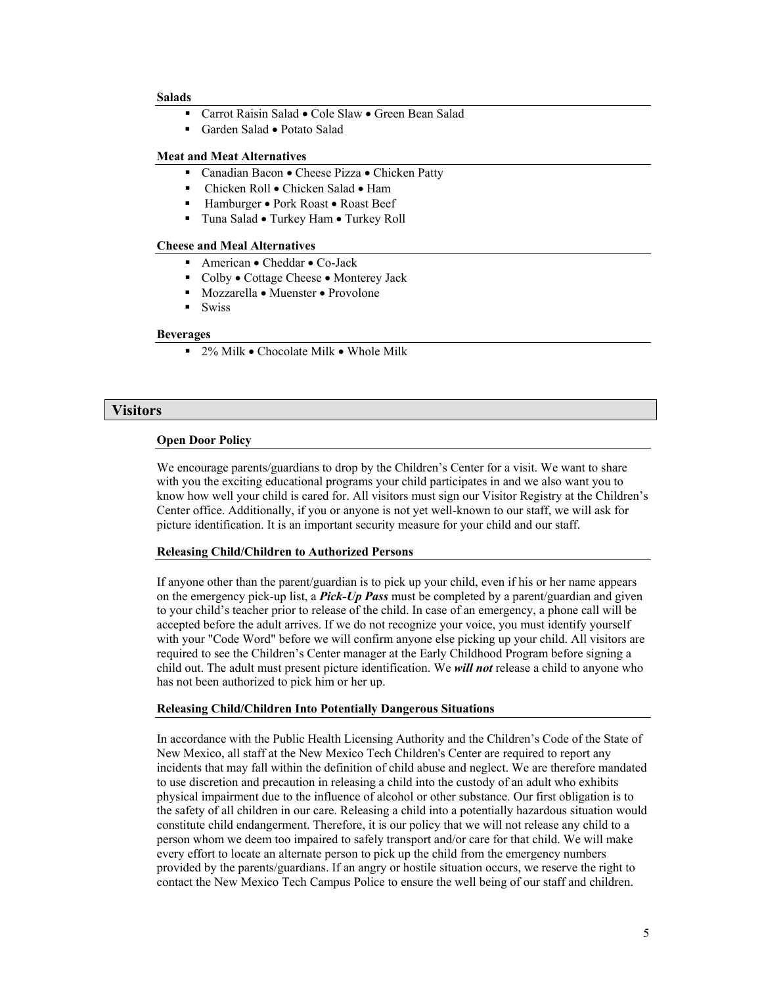#### **Salads**

- Carrot Raisin Salad Cole Slaw Green Bean Salad
- Garden Salad Potato Salad

## **Meat and Meat Alternatives**

- Canadian Bacon Cheese Pizza Chicken Patty
- Chicken Roll Chicken Salad Ham
- Hamburger Pork Roast Roast Beef
- Tuna Salad Turkey Ham Turkey Roll

## **Cheese and Meal Alternatives**

- American Cheddar Co-Jack
- Colby Cottage Cheese Monterey Jack
- Mozzarella Muenster Provolone
- **Swiss**

## **Beverages**

 $\blacksquare$  2% Milk • Chocolate Milk • Whole Milk

## **Visitors**

#### **Open Door Policy**

We encourage parents/guardians to drop by the Children's Center for a visit. We want to share with you the exciting educational programs your child participates in and we also want you to know how well your child is cared for. All visitors must sign our Visitor Registry at the Children's Center office. Additionally, if you or anyone is not yet well-known to our staff, we will ask for picture identification. It is an important security measure for your child and our staff.

#### **Releasing Child/Children to Authorized Persons**

If anyone other than the parent/guardian is to pick up your child, even if his or her name appears on the emergency pick-up list, a *Pick-Up Pass* must be completed by a parent/guardian and given to your child's teacher prior to release of the child. In case of an emergency, a phone call will be accepted before the adult arrives. If we do not recognize your voice, you must identify yourself with your "Code Word" before we will confirm anyone else picking up your child. All visitors are required to see the Children's Center manager at the Early Childhood Program before signing a child out. The adult must present picture identification. We *will not* release a child to anyone who has not been authorized to pick him or her up.

#### **Releasing Child/Children Into Potentially Dangerous Situations**

In accordance with the Public Health Licensing Authority and the Children's Code of the State of New Mexico, all staff at the New Mexico Tech Children's Center are required to report any incidents that may fall within the definition of child abuse and neglect. We are therefore mandated to use discretion and precaution in releasing a child into the custody of an adult who exhibits physical impairment due to the influence of alcohol or other substance. Our first obligation is to the safety of all children in our care. Releasing a child into a potentially hazardous situation would constitute child endangerment. Therefore, it is our policy that we will not release any child to a person whom we deem too impaired to safely transport and/or care for that child. We will make every effort to locate an alternate person to pick up the child from the emergency numbers provided by the parents/guardians. If an angry or hostile situation occurs, we reserve the right to contact the New Mexico Tech Campus Police to ensure the well being of our staff and children.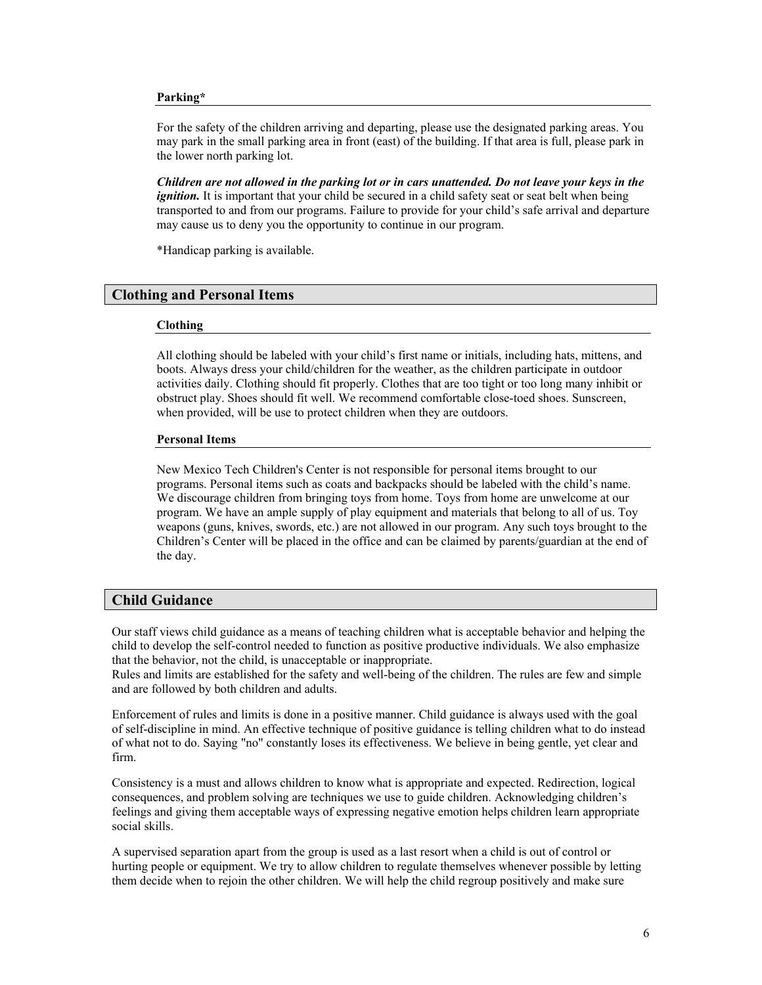#### **Parking\***

For the safety of the children arriving and departing, please use the designated parking areas. You may park in the small parking area in front (east) of the building. If that area is full, please park in the lower north parking lot.

*Children are not allowed in the parking lot or in cars unattended. Do not leave your keys in the ignition*. It is important that your child be secured in a child safety seat or seat belt when being transported to and from our programs. Failure to provide for your child's safe arrival and departure may cause us to deny you the opportunity to continue in our program.

\*Handicap parking is available.

## **Clothing and Personal Items**

#### **Clothing**

All clothing should be labeled with your child's first name or initials, including hats, mittens, and boots. Always dress your child/children for the weather, as the children participate in outdoor activities daily. Clothing should fit properly. Clothes that are too tight or too long many inhibit or obstruct play. Shoes should fit well. We recommend comfortable close-toed shoes. Sunscreen, when provided, will be use to protect children when they are outdoors.

#### **Personal Items**

New Mexico Tech Children's Center is not responsible for personal items brought to our programs. Personal items such as coats and backpacks should be labeled with the child's name. We discourage children from bringing toys from home. Toys from home are unwelcome at our program. We have an ample supply of play equipment and materials that belong to all of us. Toy weapons (guns, knives, swords, etc.) are not allowed in our program. Any such toys brought to the Children's Center will be placed in the office and can be claimed by parents/guardian at the end of the day.

## **Child Guidance**

Our staff views child guidance as a means of teaching children what is acceptable behavior and helping the child to develop the self-control needed to function as positive productive individuals. We also emphasize that the behavior, not the child, is unacceptable or inappropriate.

Rules and limits are established for the safety and well-being of the children. The rules are few and simple and are followed by both children and adults.

Enforcement of rules and limits is done in a positive manner. Child guidance is always used with the goal of self-discipline in mind. An effective technique of positive guidance is telling children what to do instead of what not to do. Saying "no" constantly loses its effectiveness. We believe in being gentle, yet clear and firm.

Consistency is a must and allows children to know what is appropriate and expected. Redirection, logical consequences, and problem solving are techniques we use to guide children. Acknowledging children's feelings and giving them acceptable ways of expressing negative emotion helps children learn appropriate social skills.

A supervised separation apart from the group is used as a last resort when a child is out of control or hurting people or equipment. We try to allow children to regulate themselves whenever possible by letting them decide when to rejoin the other children. We will help the child regroup positively and make sure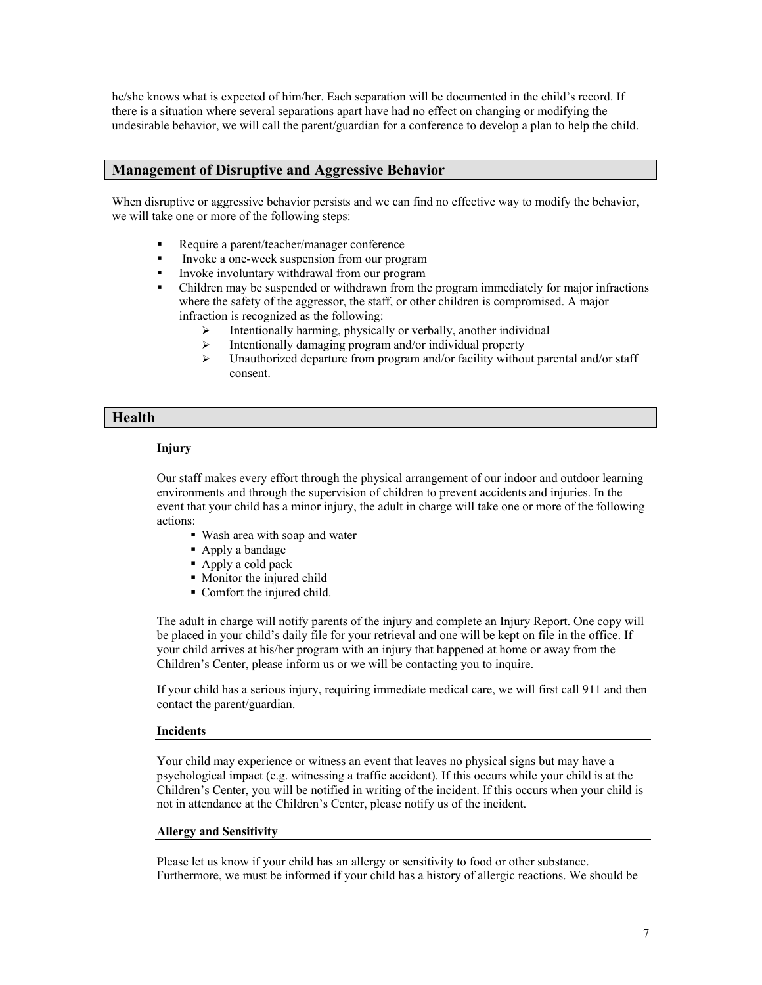he/she knows what is expected of him/her. Each separation will be documented in the child's record. If there is a situation where several separations apart have had no effect on changing or modifying the undesirable behavior, we will call the parent/guardian for a conference to develop a plan to help the child.

## **Management of Disruptive and Aggressive Behavior**

When disruptive or aggressive behavior persists and we can find no effective way to modify the behavior, we will take one or more of the following steps:

- Require a parent/teacher/manager conference
- Invoke a one-week suspension from our program
- Invoke involuntary withdrawal from our program
- Children may be suspended or withdrawn from the program immediately for major infractions where the safety of the aggressor, the staff, or other children is compromised. A major infraction is recognized as the following:
	- $\triangleright$  Intentionally harming, physically or verbally, another individual
	- $\triangleright$  Intentionally damaging program and/or individual property
	- $\geq$  Unauthorized departure from program and/or facility without parental and/or staff consent.

## **Health**

## **Injury**

Our staff makes every effort through the physical arrangement of our indoor and outdoor learning environments and through the supervision of children to prevent accidents and injuries. In the event that your child has a minor injury, the adult in charge will take one or more of the following actions:

- Wash area with soap and water
- Apply a bandage
- Apply a cold pack
- Monitor the injured child
- Comfort the injured child.

The adult in charge will notify parents of the injury and complete an Injury Report. One copy will be placed in your child's daily file for your retrieval and one will be kept on file in the office. If your child arrives at his/her program with an injury that happened at home or away from the Children's Center, please inform us or we will be contacting you to inquire.

If your child has a serious injury, requiring immediate medical care, we will first call 911 and then contact the parent/guardian.

## **Incidents**

Your child may experience or witness an event that leaves no physical signs but may have a psychological impact (e.g. witnessing a traffic accident). If this occurs while your child is at the Children's Center, you will be notified in writing of the incident. If this occurs when your child is not in attendance at the Children's Center, please notify us of the incident.

## **Allergy and Sensitivity**

Please let us know if your child has an allergy or sensitivity to food or other substance. Furthermore, we must be informed if your child has a history of allergic reactions. We should be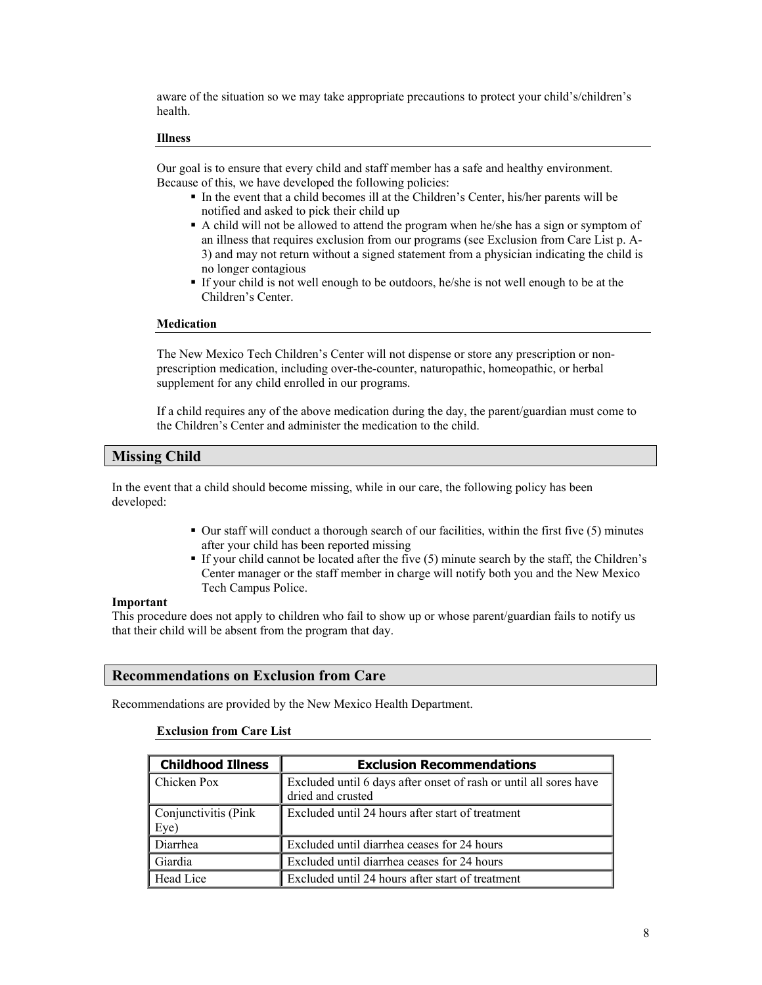aware of the situation so we may take appropriate precautions to protect your child's/children's health.

#### **Illness**

Our goal is to ensure that every child and staff member has a safe and healthy environment. Because of this, we have developed the following policies:

- In the event that a child becomes ill at the Children's Center, his/her parents will be notified and asked to pick their child up
- A child will not be allowed to attend the program when he/she has a sign or symptom of an illness that requires exclusion from our programs (see Exclusion from Care List p. A-3) and may not return without a signed statement from a physician indicating the child is no longer contagious
- If your child is not well enough to be outdoors, he/she is not well enough to be at the Children's Center.

#### **Medication**

The New Mexico Tech Children's Center will not dispense or store any prescription or nonprescription medication, including over-the-counter, naturopathic, homeopathic, or herbal supplement for any child enrolled in our programs.

If a child requires any of the above medication during the day, the parent/guardian must come to the Children's Center and administer the medication to the child.

## **Missing Child**

In the event that a child should become missing, while in our care, the following policy has been developed:

- Our staff will conduct a thorough search of our facilities, within the first five (5) minutes after your child has been reported missing
- If your child cannot be located after the five (5) minute search by the staff, the Children's Center manager or the staff member in charge will notify both you and the New Mexico Tech Campus Police.

## **Important**

This procedure does not apply to children who fail to show up or whose parent/guardian fails to notify us that their child will be absent from the program that day.

## **Recommendations on Exclusion from Care**

Recommendations are provided by the New Mexico Health Department.

#### **Exclusion from Care List**

| <b>Childhood Illness</b> | <b>Exclusion Recommendations</b>                                  |
|--------------------------|-------------------------------------------------------------------|
| Chicken Pox              | Excluded until 6 days after onset of rash or until all sores have |
|                          | dried and crusted                                                 |
| Conjunctivitis (Pink)    | Excluded until 24 hours after start of treatment                  |
| Eye)                     |                                                                   |
| Diarrhea                 | Excluded until diarrhea ceases for 24 hours                       |
| Giardia                  | Excluded until diarrhea ceases for 24 hours                       |
| Head Lice                | Excluded until 24 hours after start of treatment                  |